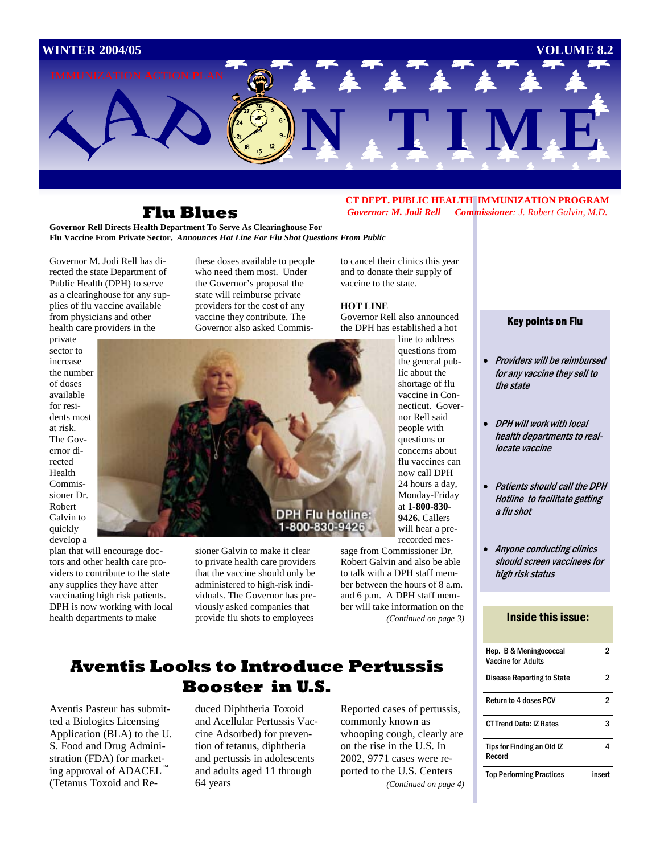

## **Flu Blues**

**Governor Rell Directs Health Department To Serve As Clearinghouse For Flu Vaccine From Private Sector,** *Announces Hot Line For Flu Shot Questions From Public* 

Governor M. Jodi Rell has directed the state Department of Public Health (DPH) to serve as a clearinghouse for any supplies of flu vaccine available from physicians and other health care providers in the

private sector to increase the number of doses available for residents most at risk. The Governor directed Health Commissioner Dr. Robert Galvin to quickly

develop a plan that will encourage doctors and other health care providers to contribute to the state any supplies they have after vaccinating high risk patients. DPH is now working with local health departments to make

these doses available to people who need them most. Under the Governor's proposal the state will reimburse private providers for the cost of any vaccine they contribute. The Governor also asked Commis-



sioner Galvin to make it clear to private health care providers that the vaccine should only be administered to high-risk individuals. The Governor has previously asked companies that provide flu shots to employees

Robert Galvin and also be able to talk with a DPH staff member between the hours of 8 a.m. and 6 p.m. A DPH staff member will take information on the *(Continued on page 3)* 

## **Aventis Looks to Introduce Pertussis Booster in U.S.**

Aventis Pasteur has submitted a Biologics Licensing Application (BLA) to the U. S. Food and Drug Administration (FDA) for marketing approval of ADACEL™ (Tetanus Toxoid and Re-

duced Diphtheria Toxoid and Acellular Pertussis Vaccine Adsorbed) for prevention of tetanus, diphtheria and pertussis in adolescents and adults aged 11 through 64 years

Reported cases of pertussis, commonly known as whooping cough, clearly are on the rise in the U.S. In 2002, 9771 cases were reported to the U.S. Centers *(Continued on page 4)* 

#### **CT DEPT. PUBLIC HEALTH IMMUNIZATION PROGRAM**  *Governor: M. Jodi Rell Commissioner: J. Robert Galvin, M.D.*

to cancel their clinics this year and to donate their supply of vaccine to the state.

#### **HOT LINE**

Governor Rell also announced the DPH has established a hot

line to address questions from the general public about the shortage of flu vaccine in Connecticut. Governor Rell said people with questions or concerns about flu vaccines can now call DPH 24 hours a day, Monday-Friday at **1-800-830- 9426.** Callers will hear a prerecorded mes-

sage from Commissioner Dr.

## Key points on Flu

- Providers will be reimbursed for any vaccine they sell to the state
- DPH will work with local health departments to reallocate vaccine
- Patients should call the DPH Hotline to facilitate getting a flu shot
- Anyone conducting clinics should screen vaccinees for high risk status

#### Inside this issue:

| Hep. B & Meningococcal<br><b>Vaccine for Adults</b> |        |
|-----------------------------------------------------|--------|
| Disease Reporting to State                          |        |
| <b>Return to 4 doses PCV</b>                        | 2      |
| <b>CT Trend Data: IZ Rates</b>                      |        |
| Tips for Finding an Old IZ<br>Record                |        |
| <b>Top Performing Practices</b>                     | insert |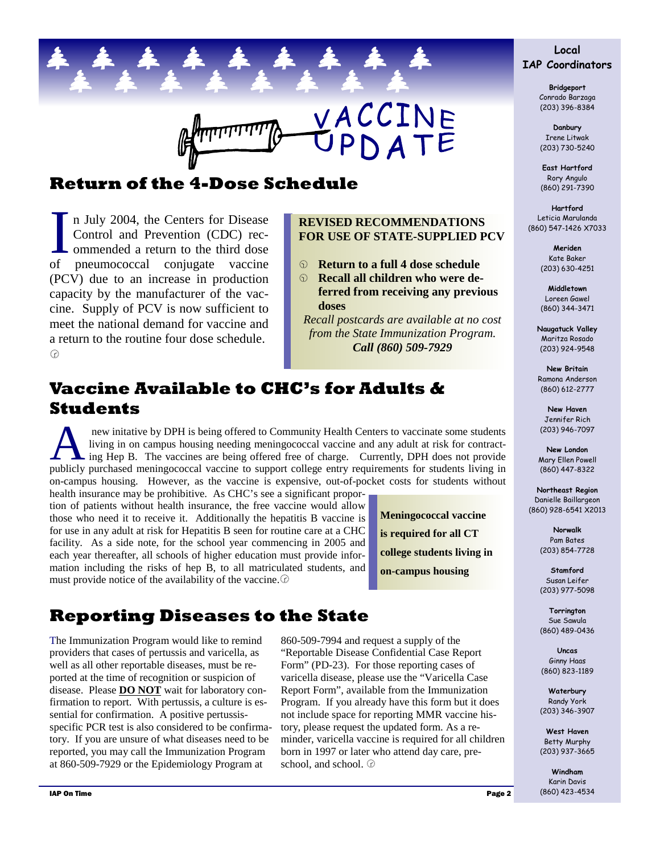

# **Return of the 4-Dose Schedule**

In July 2004, the Centers for Disease<br>Control and Prevention (CDC) recommended a return to the third dose<br>of pneumococcal conjugate vaccine n July 2004, the Centers for Disease Control and Prevention (CDC) recommended a return to the third dose (PCV) due to an increase in production capacity by the manufacturer of the vaccine. Supply of PCV is now sufficient to meet the national demand for vaccine and a return to the routine four dose schedule.  $\odot$ 

#### **REVISED RECOMMENDATIONS FOR USE OF STATE-SUPPLIED PCV**

- **8** Return to a full 4 dose schedule
- **8** Recall all children who were de**ferred from receiving any previous doses**

*Recall postcards are available at no cost from the State Immunization Program. Call (860) 509-7929*

# **Vaccine Available to CHC's for Adults & Students**

new initative by DPH is being offered to Community Health Centers to vaccinate some students<br>living in on campus housing needing meningococcal vaccine and any adult at risk for contract-<br>ing Hep B. The vaccines are being o living in on campus housing needing meningococcal vaccine and any adult at risk for contractpublicly purchased meningococcal vaccine to support college entry requirements for students living in on-campus housing. However, as the vaccine is expensive, out-of-pocket costs for students without

health insurance may be prohibitive. As CHC's see a significant proportion of patients without health insurance, the free vaccine would allow those who need it to receive it. Additionally the hepatitis B vaccine is for use in any adult at risk for Hepatitis B seen for routine care at a CHC facility. As a side note, for the school year commencing in 2005 and each year thereafter, all schools of higher education must provide information including the risks of hep B, to all matriculated students, and must provide notice of the availability of the vaccine. $\circledcirc$ 

**Meningococcal vaccine is required for all CT college students living in on-campus housing** 

# **Reporting Diseases to the State**

The Immunization Program would like to remind providers that cases of pertussis and varicella, as well as all other reportable diseases, must be reported at the time of recognition or suspicion of disease. Please **DO NOT** wait for laboratory confirmation to report. With pertussis, a culture is essential for confirmation. A positive pertussisspecific PCR test is also considered to be confirmatory. If you are unsure of what diseases need to be reported, you may call the Immunization Program at 860-509-7929 or the Epidemiology Program at

860-509-7994 and request a supply of the "Reportable Disease Confidential Case Report Form" (PD-23). For those reporting cases of varicella disease, please use the "Varicella Case Report Form", available from the Immunization Program. If you already have this form but it does not include space for reporting MMR vaccine history, please request the updated form. As a reminder, varicella vaccine is required for all children born in 1997 or later who attend day care, preschool, and school.  $\circledcirc$ 

### **Local IAP Coordinators**

**Bridgeport**  Conrado Barzaga (203) 396-8384

**Danbury**  Irene Litwak (203) 730-5240

**East Hartford**  Rory Angulo (860) 291-7390

**Hartford**  Leticia Marulanda (860) 547-1426 X7033

> **Meriden**  Kate Baker (203) 630-4251

**Middletown**  Loreen Gawel (860) 344-3471

**Naugatuck Valley**  Maritza Rosado (203) 924-9548

**New Britain**  Ramona Anderson (860) 612-2777

**New Haven**  Jennifer Rich (203) 946-7097

**New London**  Mary Ellen Powell (860) 447-8322

**Northeast Region**  Danielle Baillargeon (860) 928-6541 X2013

> **Norwalk**  Pam Bates (203) 854-7728

> **Stamford**  Susan Leifer (203) 977-5098

**Torrington**  Sue Sawula (860) 489-0436

**Uncas**  Ginny Haas (860) 823-1189

**Waterbury**  Randy York (203) 346-3907

**West Haven**  Betty Murphy (203) 937-3665

**Windham**  Karin Davis (860) 423-4534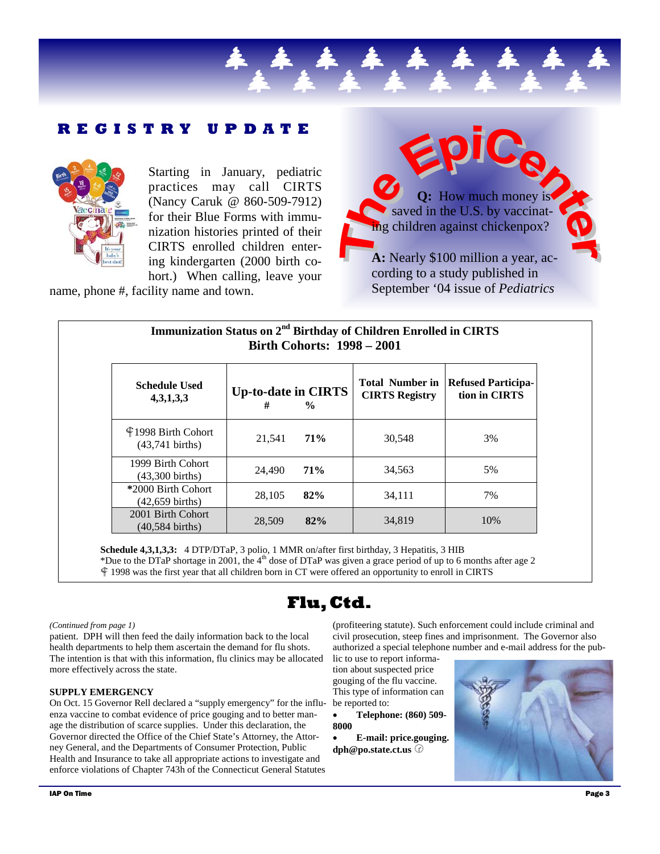### **REGISTRY UPDATE**



Starting in January, pediatric practices may call CIRTS (Nancy Caruk @ 860-509-7912) for their Blue Forms with immunization histories printed of their CIRTS enrolled children entering kindergarten (2000 birth co-

hort.) When calling, leave your name, phone #, facility name and town.



**Immunization Status on 2nd Birthday of Children Enrolled in CIRTS Birth Cohorts: 1998 – 2001** 

| <b>Schedule Used</b><br>4,3,1,3,3                | <b>Up-to-date in CIRTS</b><br># | $\frac{0}{0}$ | <b>Total Number in</b><br><b>CIRTS Registry</b> | <b>Refused Participa-</b><br>tion in CIRTS |
|--------------------------------------------------|---------------------------------|---------------|-------------------------------------------------|--------------------------------------------|
| ¶1998 Birth Cohort<br>$(43,741 \text{ births})$  | 21.541                          | 71%           | 30,548                                          | 3%                                         |
| 1999 Birth Cohort<br>$(43,300 \text{ births})$   | 24,490                          | 71%           | 34,563                                          | 5%                                         |
| *2000 Birth Cohort<br>$(42, 659 \text{ births})$ | 28,105                          | 82%           | 34,111                                          | 7%                                         |
| 2001 Birth Cohort<br>$(40.584 \text{ births})$   | 28,509                          | 82%           | 34,819                                          | 10%                                        |

**Schedule 4,3,1,3,3:** 4 DTP/DTaP, 3 polio, 1 MMR on/after first birthday, 3 Hepatitis, 3 HIB \*Due to the DTaP shortage in 2001, the 4<sup>th</sup> dose of DTaP was given a grace period of up to 6 months after age 2 f 1998 was the first year that all children born in CT were offered an opportunity to enroll in CIRTS

# **Flu, Ctd.**

#### *(Continued from page 1)*

patient. DPH will then feed the daily information back to the local health departments to help them ascertain the demand for flu shots. The intention is that with this information, flu clinics may be allocated more effectively across the state.

#### **SUPPLY EMERGENCY**

On Oct. 15 Governor Rell declared a "supply emergency" for the influenza vaccine to combat evidence of price gouging and to better manage the distribution of scarce supplies. Under this declaration, the Governor directed the Office of the Chief State's Attorney, the Attorney General, and the Departments of Consumer Protection, Public Health and Insurance to take all appropriate actions to investigate and enforce violations of Chapter 743h of the Connecticut General Statutes

(profiteering statute). Such enforcement could include criminal and civil prosecution, steep fines and imprisonment. The Governor also authorized a special telephone number and e-mail address for the pub-

lic to use to report information about suspected price gouging of the flu vaccine. This type of information can be reported to:

• **Telephone: (860) 509- 8000** 

• **E-mail: price.gouging. dph@po.state.ct.us** j